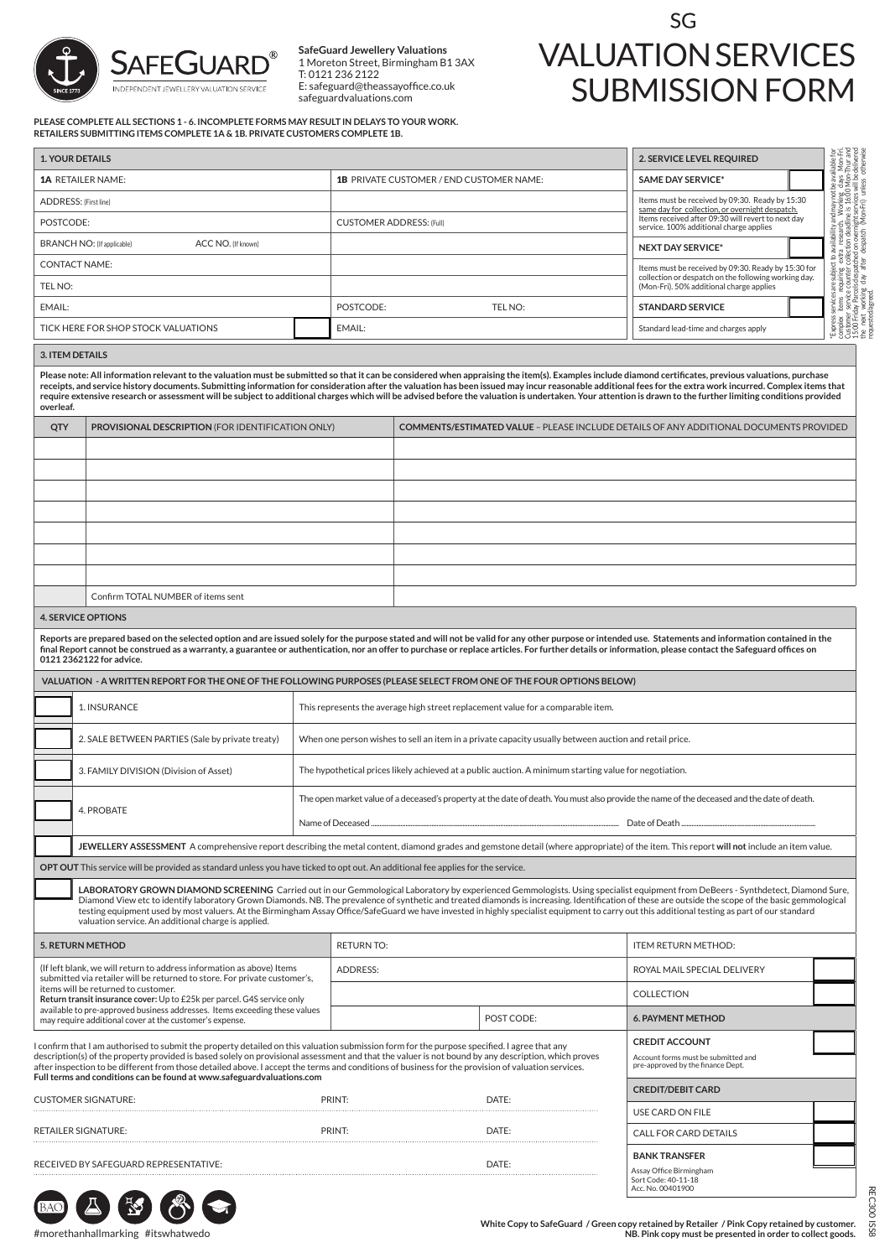

**SafeGuard Jewellery Valuations** 1 Moreton Street, Birmingham B1 3AX T: 0121 236 2122 E: safeguard@theassayoffice.co.uk safeguardvaluations.com

## SG VALUATION SERVICES SUBMISSION FORM

**PLEASE COMPLETE ALL SECTIONS 1 - 6. INCOMPLETE FORMS MAY RESULT IN DELAYS TO YOUR WORK. RETAILERS SUBMITTING ITEMS COMPLETE 1A & 1B. PRIVATE CUSTOMERS COMPLETE 1B.**

| <b>1. YOUR DETAILS</b>                                                                                                                                                                                                                                                                                                                                                                                                                                                                                                                                                                                                                                                       |                                                                                                                                                                                                                                                                                                                                                                                                                                                 |                                                                                                        |                                                                                  |                                                                                               |                                                                                                                                                                                                                                                                                                                                                                                  | 2. SERVICE LEVEL REQUIRED                                                                                                                                                                                                                                                                                                                                                              |  |
|------------------------------------------------------------------------------------------------------------------------------------------------------------------------------------------------------------------------------------------------------------------------------------------------------------------------------------------------------------------------------------------------------------------------------------------------------------------------------------------------------------------------------------------------------------------------------------------------------------------------------------------------------------------------------|-------------------------------------------------------------------------------------------------------------------------------------------------------------------------------------------------------------------------------------------------------------------------------------------------------------------------------------------------------------------------------------------------------------------------------------------------|--------------------------------------------------------------------------------------------------------|----------------------------------------------------------------------------------|-----------------------------------------------------------------------------------------------|----------------------------------------------------------------------------------------------------------------------------------------------------------------------------------------------------------------------------------------------------------------------------------------------------------------------------------------------------------------------------------|----------------------------------------------------------------------------------------------------------------------------------------------------------------------------------------------------------------------------------------------------------------------------------------------------------------------------------------------------------------------------------------|--|
|                                                                                                                                                                                                                                                                                                                                                                                                                                                                                                                                                                                                                                                                              | <b>1A RETAILER NAME:</b>                                                                                                                                                                                                                                                                                                                                                                                                                        | <b>1B PRIVATE CUSTOMER / END CUSTOMER NAME:</b>                                                        |                                                                                  |                                                                                               | <b>SAME DAY SERVICE*</b>                                                                                                                                                                                                                                                                                                                                                         |                                                                                                                                                                                                                                                                                                                                                                                        |  |
| ADDRESS: (First line)                                                                                                                                                                                                                                                                                                                                                                                                                                                                                                                                                                                                                                                        |                                                                                                                                                                                                                                                                                                                                                                                                                                                 |                                                                                                        |                                                                                  |                                                                                               |                                                                                                                                                                                                                                                                                                                                                                                  | Items must be received by 09:30. Ready by 15:30                                                                                                                                                                                                                                                                                                                                        |  |
| POSTCODE:                                                                                                                                                                                                                                                                                                                                                                                                                                                                                                                                                                                                                                                                    |                                                                                                                                                                                                                                                                                                                                                                                                                                                 | <b>CUSTOMER ADDRESS: (Full)</b>                                                                        |                                                                                  |                                                                                               | "Express services are abject to a ailability and may not be a validable reconciliant in the service of the service control of the service control of the service of the service of the service control of the service of the<br>same day for collection, or overnight despatch.<br>Items received after 09:30 will revert to next day<br>service. 100% additional charge applies |                                                                                                                                                                                                                                                                                                                                                                                        |  |
| <b>BRANCH NO: (If applicable)</b><br>ACC NO. (If known)                                                                                                                                                                                                                                                                                                                                                                                                                                                                                                                                                                                                                      |                                                                                                                                                                                                                                                                                                                                                                                                                                                 |                                                                                                        |                                                                                  |                                                                                               |                                                                                                                                                                                                                                                                                                                                                                                  | <b>NEXT DAY SERVICE*</b>                                                                                                                                                                                                                                                                                                                                                               |  |
| TEL NO:                                                                                                                                                                                                                                                                                                                                                                                                                                                                                                                                                                                                                                                                      | <b>CONTACT NAME:</b>                                                                                                                                                                                                                                                                                                                                                                                                                            |                                                                                                        |                                                                                  |                                                                                               | Items must be received by 09:30. Ready by 15:30 for<br>collection or despatch on the following working day.<br>(Mon-Fri). 50% additional charge applies                                                                                                                                                                                                                          |                                                                                                                                                                                                                                                                                                                                                                                        |  |
| EMAIL:                                                                                                                                                                                                                                                                                                                                                                                                                                                                                                                                                                                                                                                                       |                                                                                                                                                                                                                                                                                                                                                                                                                                                 | POSTCODE:<br>TEL NO:                                                                                   |                                                                                  |                                                                                               | <b>STANDARD SERVICE</b>                                                                                                                                                                                                                                                                                                                                                          |                                                                                                                                                                                                                                                                                                                                                                                        |  |
| TICK HERE FOR SHOP STOCK VALUATIONS                                                                                                                                                                                                                                                                                                                                                                                                                                                                                                                                                                                                                                          |                                                                                                                                                                                                                                                                                                                                                                                                                                                 |                                                                                                        | EMAIL:                                                                           |                                                                                               |                                                                                                                                                                                                                                                                                                                                                                                  |                                                                                                                                                                                                                                                                                                                                                                                        |  |
|                                                                                                                                                                                                                                                                                                                                                                                                                                                                                                                                                                                                                                                                              |                                                                                                                                                                                                                                                                                                                                                                                                                                                 |                                                                                                        |                                                                                  |                                                                                               | Standard lead-time and charges apply                                                                                                                                                                                                                                                                                                                                             |                                                                                                                                                                                                                                                                                                                                                                                        |  |
| <b>3. ITEM DETAILS</b><br>Please note: All information relevant to the valuation must be submitted so that it can be considered when appraising the item(s). Examples include diamond certificates, previous valuations, purchase<br>receipts, and service history documents. Submitting information for consideration after the valuation has been issued may incur reasonable additional fees for the extra work incurred. Complex items that<br>require extensive research or assessment will be subject to additional charges which will be advised before the valuation is undertaken. Your attention is drawn to the further limiting conditions provided<br>overleaf. |                                                                                                                                                                                                                                                                                                                                                                                                                                                 |                                                                                                        |                                                                                  |                                                                                               |                                                                                                                                                                                                                                                                                                                                                                                  |                                                                                                                                                                                                                                                                                                                                                                                        |  |
| QTY                                                                                                                                                                                                                                                                                                                                                                                                                                                                                                                                                                                                                                                                          | PROVISIONAL DESCRIPTION (FOR IDENTIFICATION ONLY)                                                                                                                                                                                                                                                                                                                                                                                               |                                                                                                        |                                                                                  | <b>COMMENTS/ESTIMATED VALUE - PLEASE INCLUDE DETAILS OF ANY ADDITIONAL DOCUMENTS PROVIDED</b> |                                                                                                                                                                                                                                                                                                                                                                                  |                                                                                                                                                                                                                                                                                                                                                                                        |  |
|                                                                                                                                                                                                                                                                                                                                                                                                                                                                                                                                                                                                                                                                              |                                                                                                                                                                                                                                                                                                                                                                                                                                                 |                                                                                                        |                                                                                  |                                                                                               |                                                                                                                                                                                                                                                                                                                                                                                  |                                                                                                                                                                                                                                                                                                                                                                                        |  |
|                                                                                                                                                                                                                                                                                                                                                                                                                                                                                                                                                                                                                                                                              |                                                                                                                                                                                                                                                                                                                                                                                                                                                 |                                                                                                        |                                                                                  |                                                                                               |                                                                                                                                                                                                                                                                                                                                                                                  |                                                                                                                                                                                                                                                                                                                                                                                        |  |
|                                                                                                                                                                                                                                                                                                                                                                                                                                                                                                                                                                                                                                                                              |                                                                                                                                                                                                                                                                                                                                                                                                                                                 |                                                                                                        |                                                                                  |                                                                                               |                                                                                                                                                                                                                                                                                                                                                                                  |                                                                                                                                                                                                                                                                                                                                                                                        |  |
|                                                                                                                                                                                                                                                                                                                                                                                                                                                                                                                                                                                                                                                                              |                                                                                                                                                                                                                                                                                                                                                                                                                                                 |                                                                                                        |                                                                                  |                                                                                               |                                                                                                                                                                                                                                                                                                                                                                                  |                                                                                                                                                                                                                                                                                                                                                                                        |  |
|                                                                                                                                                                                                                                                                                                                                                                                                                                                                                                                                                                                                                                                                              |                                                                                                                                                                                                                                                                                                                                                                                                                                                 |                                                                                                        |                                                                                  |                                                                                               |                                                                                                                                                                                                                                                                                                                                                                                  |                                                                                                                                                                                                                                                                                                                                                                                        |  |
|                                                                                                                                                                                                                                                                                                                                                                                                                                                                                                                                                                                                                                                                              |                                                                                                                                                                                                                                                                                                                                                                                                                                                 |                                                                                                        |                                                                                  |                                                                                               |                                                                                                                                                                                                                                                                                                                                                                                  |                                                                                                                                                                                                                                                                                                                                                                                        |  |
|                                                                                                                                                                                                                                                                                                                                                                                                                                                                                                                                                                                                                                                                              | Confirm TOTAL NUMBER of items sent                                                                                                                                                                                                                                                                                                                                                                                                              |                                                                                                        |                                                                                  |                                                                                               |                                                                                                                                                                                                                                                                                                                                                                                  |                                                                                                                                                                                                                                                                                                                                                                                        |  |
|                                                                                                                                                                                                                                                                                                                                                                                                                                                                                                                                                                                                                                                                              | <b>4. SERVICE OPTIONS</b>                                                                                                                                                                                                                                                                                                                                                                                                                       |                                                                                                        |                                                                                  |                                                                                               |                                                                                                                                                                                                                                                                                                                                                                                  |                                                                                                                                                                                                                                                                                                                                                                                        |  |
|                                                                                                                                                                                                                                                                                                                                                                                                                                                                                                                                                                                                                                                                              | Reports are prepared based on the selected option and are issued solely for the purpose stated and will not be valid for any other purpose or intended use. Statements and information contained in the<br>final Report cannot be construed as a warranty, a guarantee or authentication, nor an offer to purchase or replace articles. For further details or information, please contact the Safeguard offices on<br>0121 2362122 for advice. |                                                                                                        |                                                                                  |                                                                                               |                                                                                                                                                                                                                                                                                                                                                                                  |                                                                                                                                                                                                                                                                                                                                                                                        |  |
|                                                                                                                                                                                                                                                                                                                                                                                                                                                                                                                                                                                                                                                                              | VALUATION - A WRITTEN REPORT FOR THE ONE OF THE FOLLOWING PURPOSES (PLEASE SELECT FROM ONE OF THE FOUR OPTIONS BELOW)                                                                                                                                                                                                                                                                                                                           |                                                                                                        |                                                                                  |                                                                                               |                                                                                                                                                                                                                                                                                                                                                                                  |                                                                                                                                                                                                                                                                                                                                                                                        |  |
| 1. INSURANCE                                                                                                                                                                                                                                                                                                                                                                                                                                                                                                                                                                                                                                                                 |                                                                                                                                                                                                                                                                                                                                                                                                                                                 |                                                                                                        | This represents the average high street replacement value for a comparable item. |                                                                                               |                                                                                                                                                                                                                                                                                                                                                                                  |                                                                                                                                                                                                                                                                                                                                                                                        |  |
|                                                                                                                                                                                                                                                                                                                                                                                                                                                                                                                                                                                                                                                                              | 2. SALE BETWEEN PARTIES (Sale by private treaty)<br>When one person wishes to sell an item in a private capacity usually between auction and retail price.                                                                                                                                                                                                                                                                                      |                                                                                                        |                                                                                  |                                                                                               |                                                                                                                                                                                                                                                                                                                                                                                  |                                                                                                                                                                                                                                                                                                                                                                                        |  |
|                                                                                                                                                                                                                                                                                                                                                                                                                                                                                                                                                                                                                                                                              | 3. FAMILY DIVISION (Division of Asset)                                                                                                                                                                                                                                                                                                                                                                                                          | The hypothetical prices likely achieved at a public auction. A minimum starting value for negotiation. |                                                                                  |                                                                                               |                                                                                                                                                                                                                                                                                                                                                                                  |                                                                                                                                                                                                                                                                                                                                                                                        |  |
|                                                                                                                                                                                                                                                                                                                                                                                                                                                                                                                                                                                                                                                                              |                                                                                                                                                                                                                                                                                                                                                                                                                                                 |                                                                                                        |                                                                                  |                                                                                               | The open market value of a deceased's property at the date of death. You must also provide the name of the deceased and the date of death.                                                                                                                                                                                                                                       |                                                                                                                                                                                                                                                                                                                                                                                        |  |
|                                                                                                                                                                                                                                                                                                                                                                                                                                                                                                                                                                                                                                                                              | 4. PROBATE                                                                                                                                                                                                                                                                                                                                                                                                                                      |                                                                                                        | Name of Deceased<br>Date of Death                                                |                                                                                               |                                                                                                                                                                                                                                                                                                                                                                                  |                                                                                                                                                                                                                                                                                                                                                                                        |  |
|                                                                                                                                                                                                                                                                                                                                                                                                                                                                                                                                                                                                                                                                              |                                                                                                                                                                                                                                                                                                                                                                                                                                                 |                                                                                                        |                                                                                  |                                                                                               |                                                                                                                                                                                                                                                                                                                                                                                  |                                                                                                                                                                                                                                                                                                                                                                                        |  |
| JEWELLERY ASSESSMENT A comprehensive report describing the metal content, diamond grades and gemstone detail (where appropriate) of the item. This report will not include an item value.<br>OPT OUT This service will be provided as standard unless you have ticked to opt out. An additional fee applies for the service.                                                                                                                                                                                                                                                                                                                                                 |                                                                                                                                                                                                                                                                                                                                                                                                                                                 |                                                                                                        |                                                                                  |                                                                                               |                                                                                                                                                                                                                                                                                                                                                                                  |                                                                                                                                                                                                                                                                                                                                                                                        |  |
|                                                                                                                                                                                                                                                                                                                                                                                                                                                                                                                                                                                                                                                                              | testing equipment used by most valuers. At the Birmingham Assay Office/SafeGuard we have invested in highly specialist equipment to carry out this additional testing as part of our standard<br>valuation service. An additional charge is applied.                                                                                                                                                                                            |                                                                                                        |                                                                                  |                                                                                               |                                                                                                                                                                                                                                                                                                                                                                                  | LABORATORY GROWN DIAMOND SCREENING Carried out in our Gemmological Laboratory by experienced Gemmologists. Using specialist equipment from DeBeers - Synthdetect, Diamond Sure,<br>Diamond View etc to identify laboratory Grown Diamonds. NB. The prevalence of synthetic and treated diamonds is increasing. Identification of these are outside the scope of the basic gemmological |  |
| <b>5. RETURN METHOD</b><br>(If left blank, we will return to address information as above) Items<br>submitted via retailer will be returned to store. For private customer's,<br>items will be returned to customer.<br>Return transit insurance cover: Up to £25k per parcel. G4S service only<br>available to pre-approved business addresses. Items exceeding these values<br>may require additional cover at the customer's expense.                                                                                                                                                                                                                                     |                                                                                                                                                                                                                                                                                                                                                                                                                                                 |                                                                                                        | <b>RETURN TO:</b>                                                                |                                                                                               |                                                                                                                                                                                                                                                                                                                                                                                  | ITEM RETURN METHOD:                                                                                                                                                                                                                                                                                                                                                                    |  |
|                                                                                                                                                                                                                                                                                                                                                                                                                                                                                                                                                                                                                                                                              |                                                                                                                                                                                                                                                                                                                                                                                                                                                 |                                                                                                        | ADDRESS:                                                                         |                                                                                               |                                                                                                                                                                                                                                                                                                                                                                                  | ROYAL MAIL SPECIAL DELIVERY                                                                                                                                                                                                                                                                                                                                                            |  |
|                                                                                                                                                                                                                                                                                                                                                                                                                                                                                                                                                                                                                                                                              |                                                                                                                                                                                                                                                                                                                                                                                                                                                 |                                                                                                        |                                                                                  |                                                                                               |                                                                                                                                                                                                                                                                                                                                                                                  | COLLECTION                                                                                                                                                                                                                                                                                                                                                                             |  |
|                                                                                                                                                                                                                                                                                                                                                                                                                                                                                                                                                                                                                                                                              |                                                                                                                                                                                                                                                                                                                                                                                                                                                 |                                                                                                        |                                                                                  |                                                                                               | POST CODE:                                                                                                                                                                                                                                                                                                                                                                       | <b>6. PAYMENT METHOD</b>                                                                                                                                                                                                                                                                                                                                                               |  |
| I confirm that I am authorised to submit the property detailed on this valuation submission form for the purpose specified. I agree that any<br>description(s) of the property provided is based solely on provisional assessment and that the valuer is not bound by any description, which proves<br>after inspection to be different from those detailed above. I accept the terms and conditions of business for the provision of valuation services.<br>Full terms and conditions can be found at www.safeguardvaluations.com                                                                                                                                           |                                                                                                                                                                                                                                                                                                                                                                                                                                                 |                                                                                                        |                                                                                  |                                                                                               |                                                                                                                                                                                                                                                                                                                                                                                  | <b>CREDIT ACCOUNT</b><br>Account forms must be submitted and<br>pre-approved by the finance Dept.                                                                                                                                                                                                                                                                                      |  |
| <b>CUSTOMER SIGNATURE:</b>                                                                                                                                                                                                                                                                                                                                                                                                                                                                                                                                                                                                                                                   |                                                                                                                                                                                                                                                                                                                                                                                                                                                 |                                                                                                        | DATE:<br>PRINT:                                                                  |                                                                                               |                                                                                                                                                                                                                                                                                                                                                                                  | <b>CREDIT/DEBIT CARD</b><br>USE CARD ON FILE                                                                                                                                                                                                                                                                                                                                           |  |
| <b>RETAILER SIGNATURE:</b>                                                                                                                                                                                                                                                                                                                                                                                                                                                                                                                                                                                                                                                   |                                                                                                                                                                                                                                                                                                                                                                                                                                                 |                                                                                                        | PRINT:                                                                           |                                                                                               | DATE:                                                                                                                                                                                                                                                                                                                                                                            | CALL FOR CARD DETAILS                                                                                                                                                                                                                                                                                                                                                                  |  |
|                                                                                                                                                                                                                                                                                                                                                                                                                                                                                                                                                                                                                                                                              | RECEIVED BY SAFEGUARD REPRESENTATIVE:                                                                                                                                                                                                                                                                                                                                                                                                           |                                                                                                        |                                                                                  | DATE:                                                                                         | <b>BANK TRANSFER</b><br>Assay Office Birmingham<br>Sort Code: 40-11-18<br>Acc. No. 00401900                                                                                                                                                                                                                                                                                      |                                                                                                                                                                                                                                                                                                                                                                                        |  |